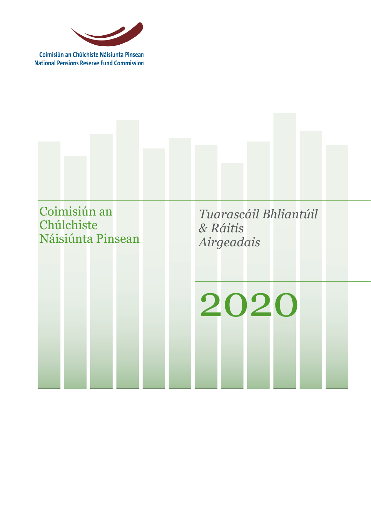

Coimisiún an Chúlchiste Náisiunta Pinsean **National Pensions Reserve Fund Commission** 

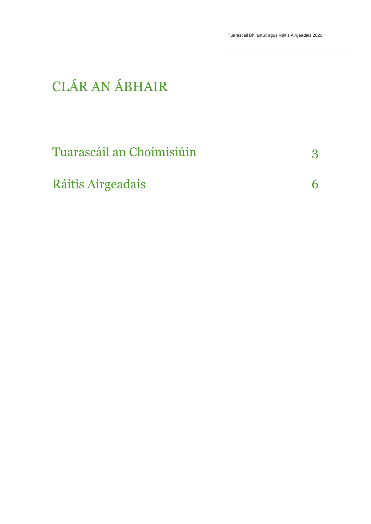# CLÁR AN ÁBHAIR

| Tuarascáil an Choimisiúin |  |
|---------------------------|--|
| Ráitis Airgeadais         |  |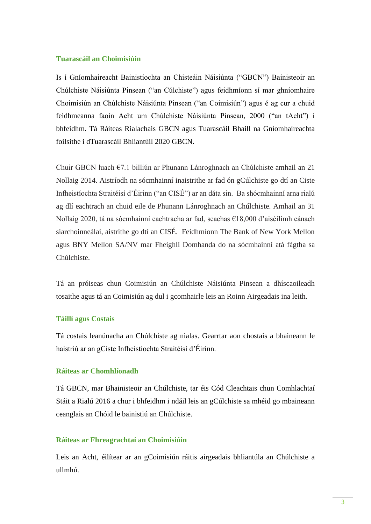# **Tuarascáil an Choimisiúin**

Is í Gníomhaireacht Bainistíochta an Chisteáin Náisiúnta ("GBCN") Bainisteoir an Chúlchiste Náisiúnta Pinsean ("an Cúlchiste") agus feidhmíonn sí mar ghníomhaire Choimisiún an Chúlchiste Náisiúnta Pinsean ("an Coimisiún") agus é ag cur a chuid feidhmeanna faoin Acht um Chúlchiste Náisiúnta Pinsean, 2000 ("an tAcht") i bhfeidhm. Tá Ráiteas Rialachais GBCN agus Tuarascáil Bhaill na Gníomhaireachta foilsithe i dTuarascáil Bhliantúil 2020 GBCN.

Chuir GBCN luach €7.1 billiún ar Phunann Lánroghnach an Chúlchiste amhail an 21 Nollaig 2014. Aistríodh na sócmhainní inaistrithe ar fad ón gCúlchiste go dtí an Ciste Infheistíochta Straitéisí d'Éirinn ("an CISÉ") ar an dáta sin. Ba shócmhainní arna rialú ag dlí eachtrach an chuid eile de Phunann Lánroghnach an Chúlchiste. Amhail an 31 Nollaig 2020, tá na sócmhainní eachtracha ar fad, seachas €18,000 d'aiséilimh cánach siarchoinneálaí, aistrithe go dtí an CISÉ. Feidhmíonn The Bank of New York Mellon agus BNY Mellon SA/NV mar Fheighlí Domhanda do na sócmhainní atá fágtha sa Chúlchiste.

Tá an próiseas chun Coimisiún an Chúlchiste Náisiúnta Pinsean a dhíscaoileadh tosaithe agus tá an Coimisiún ag dul i gcomhairle leis an Roinn Airgeadais ina leith.

# **Táillí agus Costais**

Tá costais leanúnacha an Chúlchiste ag nialas. Gearrtar aon chostais a bhaineann le haistriú ar an gCiste Infheistíochta Straitéisí d'Éirinn.

# **Ráiteas ar Chomhlíonadh**

Tá GBCN, mar Bhainisteoir an Chúlchiste, tar éis Cód Cleachtais chun Comhlachtaí Stáit a Rialú 2016 a chur i bhfeidhm i ndáil leis an gCúlchiste sa mhéid go mbaineann ceanglais an Chóid le bainistiú an Chúlchiste.

# **Ráiteas ar Fhreagrachtaí an Choimisiúin**

Leis an Acht, éilítear ar an gCoimisiún ráitis airgeadais bhliantúla an Chúlchiste a ullmhú.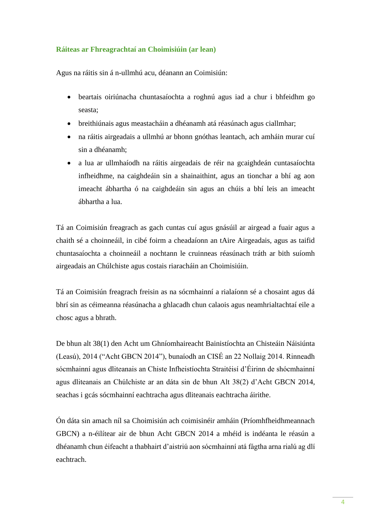# **Ráiteas ar Fhreagrachtaí an Choimisiúin (ar lean)**

Agus na ráitis sin á n-ullmhú acu, déanann an Coimisiún:

- beartais oiriúnacha chuntasaíochta a roghnú agus iad a chur i bhfeidhm go seasta;
- breithiúnais agus meastacháin a dhéanamh atá réasúnach agus ciallmhar;
- na ráitis airgeadais a ullmhú ar bhonn gnóthas leantach, ach amháin murar cuí sin a dhéanamh;
- a lua ar ullmhaíodh na ráitis airgeadais de réir na gcaighdeán cuntasaíochta infheidhme, na caighdeáin sin a shainaithint, agus an tionchar a bhí ag aon imeacht ábhartha ó na caighdeáin sin agus an chúis a bhí leis an imeacht ábhartha a lua.

Tá an Coimisiún freagrach as gach cuntas cuí agus gnásúil ar airgead a fuair agus a chaith sé a choinneáil, in cibé foirm a cheadaíonn an tAire Airgeadais, agus as taifid chuntasaíochta a choinneáil a nochtann le cruinneas réasúnach tráth ar bith suíomh airgeadais an Chúlchiste agus costais riaracháin an Choimisiúin.

Tá an Coimisiún freagrach freisin as na sócmhainní a rialaíonn sé a chosaint agus dá bhrí sin as céimeanna réasúnacha a ghlacadh chun calaois agus neamhrialtachtaí eile a chosc agus a bhrath.

De bhun alt 38(1) den Acht um Ghníomhaireacht Bainistíochta an Chisteáin Náisiúnta (Leasú), 2014 ("Acht GBCN 2014"), bunaíodh an CISÉ an 22 Nollaig 2014. Rinneadh sócmhainní agus dliteanais an Chiste Infheistíochta Straitéisí d'Éirinn de shócmhainní agus dliteanais an Chúlchiste ar an dáta sin de bhun Alt 38(2) d'Acht GBCN 2014, seachas i gcás sócmhainní eachtracha agus dliteanais eachtracha áirithe.

Ón dáta sin amach níl sa Choimisiún ach coimisinéir amháin (Príomhfheidhmeannach GBCN) a n-éilítear air de bhun Acht GBCN 2014 a mhéid is indéanta le réasún a dhéanamh chun éifeacht a thabhairt d'aistriú aon sócmhainní atá fágtha arna rialú ag dlí eachtrach.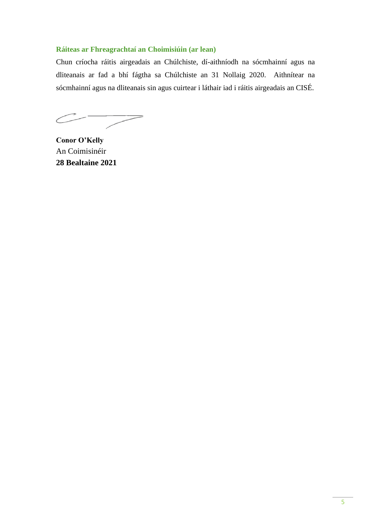# **Ráiteas ar Fhreagrachtaí an Choimisiúin (ar lean)**

Chun críocha ráitis airgeadais an Chúlchiste, dí-aithníodh na sócmhainní agus na dliteanais ar fad a bhí fágtha sa Chúlchiste an 31 Nollaig 2020. Aithnítear na sócmhainní agus na dliteanais sin agus cuirtear i láthair iad i ráitis airgeadais an CISÉ.

 $\overline{\phantom{0}}$ 

**Conor O'Kelly**  An Coimisinéir **28 Bealtaine 2021**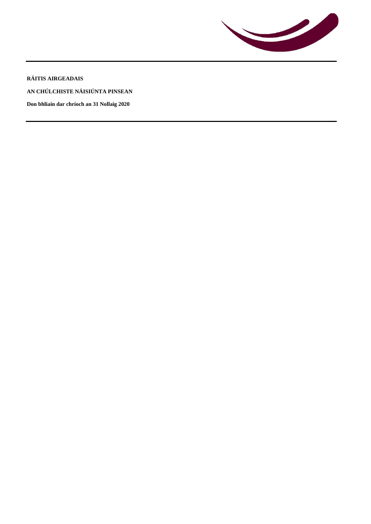

**RÁITIS AIRGEADAIS**

**AN CHÚLCHISTE NÁISIÚNTA PINSEAN**

**Don bhliain dar chríoch an 31 Nollaig 2020**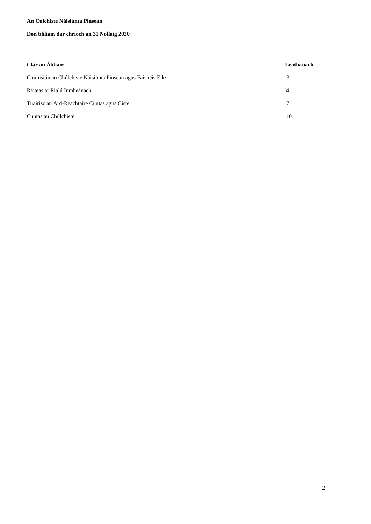# **Don bhliain dar chríoch an 31 Nollaig 2020**

| Clár an Ábhair                                               | Leathanach |
|--------------------------------------------------------------|------------|
| Coimisiún an Chúlchiste Náisiúnta Pinsean agus Faisnéis Eile | 3          |
| Ráiteas ar Rialú Inmheánach                                  | 4          |
| Tuairisc an Ard-Reachtaire Cuntas agus Ciste                 |            |
| Cuntas an Chúlchiste                                         | 10         |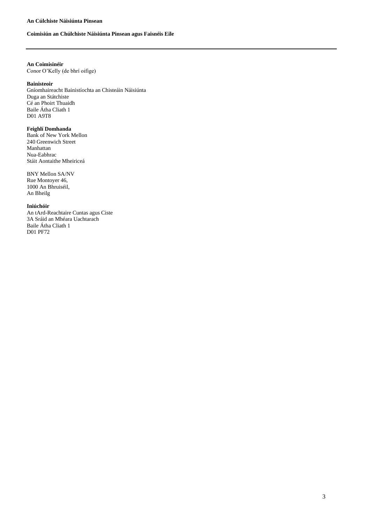#### **Coimisiún an Chúlchiste Náisiúnta Pinsean agus Faisnéis Eile**

# **An Coimisinéir**

Conor O'Kelly (de bhrí oifige)

#### **Bainisteoir**

Gníomhaireacht Bainistíochta an Chisteáin Náisiúnta Duga an Státchiste Cé an Phoirt Thuaidh Baile Átha Cliath 1 D01 A9T8

#### **Feighlí Domhanda**

Bank of New York Mellon 240 Greenwich Street Manhattan Nua-Eabhrac Stáit Aontaithe Mheiriceá

BNY Mellon SA/NV Rue Montoyer 46, 1000 An Bhruiséil, An Bheilg

#### **Iniúchóir**

An tArd-Reachtaire Cuntas agus Ciste 3A Sráid an Mhéara Uachtarach Baile Átha Cliath 1 D01 PF72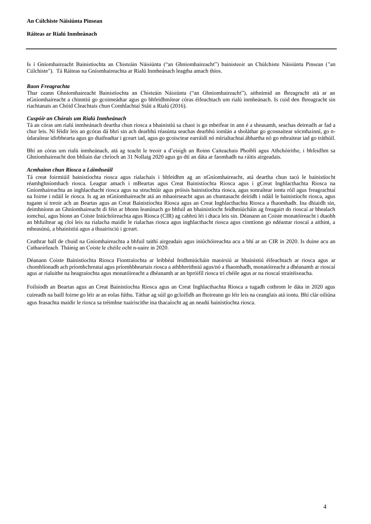#### **Ráiteas ar Rialú Inmheánach**

Is í Gníomhaireacht Bainistíochta an Chisteáin Náisiúnta ("an Ghníomhaireacht") bainisteoir an Chúlchiste Náisiúnta Pinsean ("an Cúlchiste"). Tá Ráiteas na Gníomhaireachta ar Rialú Inmheánach leagtha amach thíos.

#### *Raon Freagrachta*

Thar ceann Ghníomhaireacht Bainistíochta an Chisteáin Náisiúnta ("an Ghníomhaireacht"), aithnímid an fhreagracht atá ar an nGníomhaireacht a chinntiú go gcoimeádtar agus go bhfeidhmítear córas éifeachtach um rialú inmheánach. Is cuid den fhreagracht sin riachtanais an Chóid Cleachtais chun Comhlachtaí Stáit a Rialú (2016).

#### *Cuspóir an Chórais um Rialú Inmheánach*

Tá an córas um rialú inmheánach deartha chun riosca a bhainistiú sa chaoi is go mbeifear in ann é a sheasamh, seachas deireadh ar fad a chur leis. Ní féidir leis an gcóras dá bhrí sin ach dearbhú réasúnta seachas dearbhú iomlán a sholáthar go gcosnaítear sócmhainní, go núdaraítear idirbhearta agus go dtaifeadtar i gceart iad, agus go gcoisctear earráidí nó mírialtachtaí ábhartha nó go mbraitear iad go tráthúil.

Bhí an córas um rialú inmheánach, atá ag teacht le treoir a d'eisigh an Roinn Caiteachais Phoiblí agus Athchóirithe, i bhfeidhm sa Ghníomhaireacht don bhliain dar chríoch an 31 Nollaig 2020 agus go dtí an dáta ar faomhadh na ráitis airgeadais.

#### *Acmhainn chun Riosca a Láimhseáil*

Tá creat foirmiúil bainistíochta riosca agus rialachais i bhfeidhm ag an nGníomhaireacht, atá deartha chun tacú le bainistíocht réamhghníomhach riosca. Leagtar amach i mBeartas agus Creat Bainistíochta Riosca agus i gCreat Inghlacthachta Riosca na Gníomhaireachta an inghlacthacht riosca agus na struchtúir agus próisis bainistíochta riosca, agus sonraítear iontu róil agus freagrachtaí na foirne i ndáil le riosca. Is ag an nGníomhaireacht atá an mhaoirseacht agus an chuntasacht deiridh i ndáil le bainistíocht riosca, agus tugann sí treoir ach an Beartas agus an Creat Bainistíochta Riosca agus an Creat Inghlacthachta Riosca a fhaomhadh. Ina dhiaidh sin, deimhníonn an Ghníomhaireacht di féin ar bhonn leanúnach go bhfuil an bhainistíocht feidhmiúcháin ag freagairt do rioscaí ar bhealach iomchuí, agus bíonn an Coiste Iniúchóireachta agus Riosca (CIR) ag cabhrú léi i dtaca leis sin. Déanann an Coiste monatóireacht i dtaobh an bhfuiltear ag cloí leis na rialacha maidir le rialachas riosca agus inghlacthacht riosca agus cinntíonn go ndéantar rioscaí a aithint, a mheasúnú, a bhainistiú agus a thuairisciú i gceart.

Ceathrar ball de chuid na Gníomhaireachta a bhfuil taithí airgeadais agus iniúchóireachta acu a bhí ar an CIR in 2020. Is duine acu an Cathaoirleach. Tháinig an Coiste le chéile ocht n‑uaire in 2020.

Déanann Coiste Bainistíochta Riosca Fiontraíochta ar leibhéal feidhmiúcháin maoirsiú ar bhainistiú éifeachtach ar riosca agus ar chomhlíonadh ach príomhchreataí agus príomhbheartais riosca a athbhreithniú agus/nó a fhaomhadh, monatóireacht a dhéanamh ar rioscaí agus ar rialuithe na heagraíochta agus monatóireacht a dhéanamh ar an bpróifíl riosca trí chéile agus ar na rioscaí straitéiseacha.

Foilsíodh an Beartas agus an Creat Bainistíochta Riosca agus an Creat Inghlacthachta Riosca a tugadh cothrom le dáta in 2020 agus cuireadh na baill foirne go léir ar an eolas fúthu. Táthar ag súil go gcloífidh an fhoireann go léir leis na ceanglais atá iontu. Bhí clár oiliúna agus feasachta maidir le riosca sa tréimhse tuairiscithe ina thacaíocht ag an neadú bainistíochta riosca.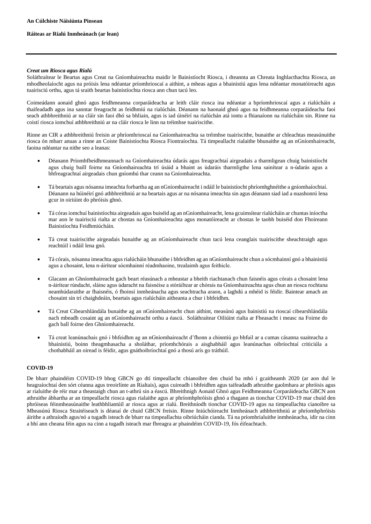#### **Ráiteas ar Rialú Inmheánach (ar lean)**

#### *Creat um Riosca agus Rialú*

Soláthraítear le Beartas agus Creat na Gníomhaireachta maidir le Bainistíocht Riosca, i dteannta an Chreata Inghlacthachta Riosca, an mhodheolaíocht agus na próisis lena ndéantar príomhrioscaí a aithint, a mheas agus a bhainistiú agus lena ndéantar monatóireacht agus tuairisciú orthu, agus tá sraith beartas bainistíochta riosca ann chun tacú leo.

Coimeádann aonaid ghnó agus feidhmeanna corparáideacha ar leith cláir riosca ina ndéantar a bpríomhrioscaí agus a rialúcháin a thaifeadadh agus ina sanntar freagracht as feidhmiú na rialúchán. Déanann na haonaid ghnó agus na feidhmeanna corparáideacha faoi seach athbhreithniú ar na cláir sin faoi dhó sa bhliain, agus is iad úinéirí na rialúchán atá iontu a fhianaíonn na rialúcháin sin. Rinne na coistí riosca iomchuí athbhreithniú ar na cláir riosca le linn na tréimhse tuairiscithe.

Rinne an CIR a athbhreithniú freisin ar phríomhrioscaí na Gníomhaireachta sa tréimhse tuairiscithe, bunaithe ar chleachtas measúnuithe riosca ón mbarr anuas a rinne an Coiste Bainistíochta Riosca Fiontraíochta. Tá timpeallacht rialaithe bhunaithe ag an nGníomhaireacht, faoina ndéantar na nithe seo a leanas:

- Déanann Príomhfheidhmeannach na Gníomhaireachta údarás agus freagrachtaí airgeadais a tharmligean chuig bainistíocht agus chuig baill foirne na Gníomhaireachta trí úsáid a bhaint as údaráis tharmligthe lena sainítear a n‑údarás agus a bhfreagrachtaí airgeadais chun gníomhú thar ceann na Gníomhaireachta.
- Tá beartais agus nósanna imeachta forbartha ag an nGníomhaireacht i ndáil le bainistíocht phríomhghnéithe a gníomhaíochtaí. Déanann na húinéirí gnó athbhreithniú ar na beartais agus ar na nósanna imeachta sin agus déanann siad iad a nuashonrú lena gcur in oiriúint do phróisis ghnó.
- Tá córas iomchuí bainistíochta airgeadais agus buiséid ag an nGníomhaireacht, lena gcuimsítear rialúcháin ar chuntas iníoctha mar aon le tuairisciú rialta ar chostas na Gníomhaireachta agus monatóireacht ar chostas le taobh buiséid don Fhoireann Bainistíochta Feidhmiúcháin.
- Tá creat tuairiscithe airgeadais bunaithe ag an nGníomhaireacht chun tacú lena ceanglais tuairiscithe sheachtraigh agus reachtúil i ndáil lena gnó.
- Tá córais, nósanna imeachta agus rialúcháin bhunaithe i bhfeidhm ag an nGníomhaireacht chun a sócmhainní gnó a bhainistiú agus a chosaint, lena n‑áirítear sócmhainní réadmhaoine, trealaimh agus feithicle.
- Glacann an Ghníomhaireacht gach beart réasúnach a mheastar a bheith riachtanach chun faisnéis agus córais a chosaint lena n‑áirítear rúndacht, sláine agus údaracht na faisnéise a stóráiltear ar chórais na Gníomhaireachta agus chun an riosca rochtana neamhúdaraithe ar fhaisnéis, ó fhoinsí inmheánacha agus seachtracha araon, a laghdú a mhéid is féidir. Baintear amach an chosaint sin trí chaighdeáin, beartais agus rialúcháin aitheanta a chur i bhfeidhm.
- Tá Creat Cibearshlándála bunaithe ag an nGníomhaireacht chun aithint, measúnú agus bainistiú na rioscaí cibearshlándála nach mbeadh cosaint ag an nGníomhaireacht orthu a éascú. Soláthraítear Oiliúint rialta ar Fheasacht i measc na Foirne do gach ball foirne den Ghníomhaireacht.
- Tá creat leanúnachais gnó i bhfeidhm ag an nGníomhaireacht d'fhonn a chinntiú go bhfuil ar a cumas cásanna suaiteacha a bhainistiú, boinn theagmhasacha a sholáthar, príomhchórais a aisghabháil agus leanúnachas oibríochtaí criticiúla a chothabháil an oiread is féidir, agus gnáthoibríochtaí gnó a thosú arís go tráthúil.

#### **COVID-19**

De bharr phaindéim COVID-19 bhog GBCN go dtí timpeallacht chianoibre den chuid ba mhó i gcaitheamh 2020 (ar aon dul le heagraíochtaí den sórt céanna agus treoirlínte an Rialtais), agus cuireadh i bhfeidhm agus taifeadadh athruithe gaolmhara ar phróisis agus ar rialuithe de réir mar a theastaigh chun an t-athrú sin a éascú. Bhreithnigh Aonaid Ghnó agus Feidhmeanna Corparáideacha GBCN aon athruithe ábhartha ar an timpeallacht riosca agus rialaithe agus ar phríomhphróisis ghnó a thagann as tionchar COVID-19 mar chuid den phróiseas féinmheasúnaithe leathbhliantúil ar riosca agus ar rialú. Breithníodh tionchar COVID-19 agus na timpeallachta cianoibre sa Mheasúnú Riosca Straitéiseach is déanaí de chuid GBCN freisin. Rinne Iniúchóireacht Inmheánach athbhreithniú ar phríomhphróisis áirithe a athraíodh agus/nó a tugadh isteach de bharr na timpeallachta oibriúcháin cianda. Tá na príomhrialuithe inmheánacha, idir na cinn a bhí ann cheana féin agus na cinn a tugadh isteach mar fhreagra ar phaindéim COVID-19, fós éifeachtach.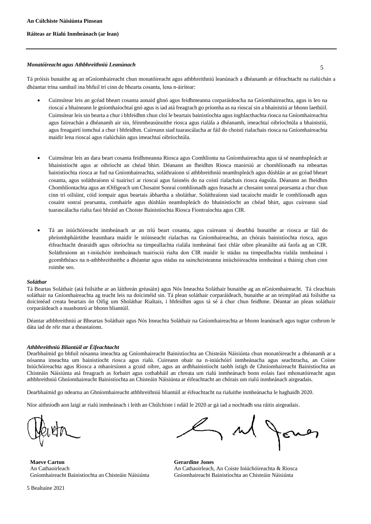#### **Ráiteas ar Rialú Inmheánach (ar lean)**

#### *Monatóireacht agus Athbhreithniú Leanúnach*

Tá próisis bunaithe ag an nGníomhaireacht chun monatóireacht agus athbhreithniú leanúnach a dhéanamh ar éifeachtacht na rialúchán a dhéantar trína samhail ina bhfuil trí cinn de bhearta cosanta, lena n‑áirítear:

- Cuimsítear leis an gcéad bheart cosanta aonaid ghnó agus feidhmeanna corparáideacha na Gníomhaireachta, agus is leo na rioscaí a bhaineann le gníomhaíochtaí gnó agus is iad atá freagrach go príomha as na rioscaí sin a bhainistiú ar bhonn laethúil. Cuimsítear leis sin bearta a chur i bhfeidhm chun cloí le beartais bainistíochta agus inghlacthachta riosca na Gníomhaireachta agus faireachán a dhéanamh air sin, féinmheasúnuithe riosca agus rialála a dhéanamh, imeachtaí oibríochtúla a bhainistiú, agus freagairtí iomchuí a chur i bhfeidhm. Cuireann siad tuarascálacha ar fáil do choistí rialachais riosca na Gníomhaireachta maidir lena rioscaí agus rialúcháin agus imeachtaí oibríochtúla.
- Cuimsítear leis an dara beart cosanta feidhmeanna Riosca agus Comhlíonta na Gníomhaireachta agus tá sé neamhspleách ar bhainistíocht agus ar oibríocht an chéad bhirt. Déanann an fheidhm Riosca maoirsiú ar chomhlíonadh na mbeartas bainistíochta riosca ar fud na Gníomhaireachta, soláthraíonn sí athbhreithniú neamhspleách agus dúshlán ar an gcéad bheart cosanta, agus soláthraíonn sí tuairiscí ar rioscaí agus faisnéis do na coistí rialachais riosca éagsúla. Déanann an fheidhm Chomhlíontachta agus an tOifigeach um Chosaint Sonraí comhlíonadh agus feasacht ar chosaint sonraí pearsanta a chur chun cinn trí oiliúint, cóid iompair agus beartais ábhartha a sholáthar. Soláthraíonn siad tacaíocht maidir le comhlíonadh agus cosaint sonraí pearsanta, comhairle agus dúshlán neamhspleách do bhainistíocht an chéad bhirt, agus cuireann siad tuarascálacha rialta faoi bhráid an Choiste Bainistíochta Riosca Fiontraíochta agus CIR.
- Tá an iniúchóireacht inmheánach ar an tríú beart cosanta, agus cuireann sí dearbhú bunaithe ar riosca ar fáil do phríomhpháirtithe leasmhara maidir le stóinseacht rialachas na Gníomhaireachta, an chórais bainistíochta riosca, agus éifeachtacht dearaidh agus oibríochta na timpeallachta rialála inmheánaí faoi chlár oibre pleanáilte atá faofa ag an CIR. Soláthraíonn an t-iniúchóir inmheánach tuairisciú rialta don CIR maidir le stádas na timpeallachta rialála inmheánaí i gcomhthéacs na n‑athbhreithnithe a dhéantar agus stádas na saincheisteanna iniúchóireachta inmheánaí a tháinig chun cinn roimhe seo.

#### *Soláthar*

Tá Beartas Soláthair (atá foilsithe ar an láithreán gréasáin) agus Nós Imeachta Soláthair bunaithe ag an nGníomhaireacht. Tá cleachtais soláthair na Gníomhaireachta ag teacht leis na doiciméid sin. Tá plean soláthair corparáideach, bunaithe ar an teimpléad atá foilsithe sa doiciméad creata beartais ón Oifig um Sholáthar Rialtais, i bhfeidhm agus tá sé á chur chun feidhme. Déantar an plean soláthair corparáideach a nuashonrú ar bhonn bliantúil.

Déantar athbhreithniú ar Bheartas Soláthair agus Nós Imeachta Soláthair na Gníomhaireachta ar bhonn leanúnach agus tugtar cothrom le dáta iad de réir mar a theastaíonn.

#### *Athbhreithniú Bliantúil ar Éifeachtacht*

Dearbhaímid go bhfuil nósanna imeachta ag Gníomhaireacht Bainistíochta an Chisteáin Náisiúnta chun monatóireacht a dhéanamh ar a nósanna imeachta um bainistíocht riosca agus rialú. Cuireann obair na n-iniúchóirí inmheánacha agus seachtracha, an Coiste Iniúchóireachta agus Riosca a mhaoirsíonn a gcuid oibre, agus an ardbhainistíocht taobh istigh de Ghníomhaireacht Bainistíochta an Chisteáin Náisiúnta atá freagrach as forbairt agus cothabháil an chreata um rialú inmheánach bonn eolais faoi mhonatóireacht agus athbhreithniú Ghníomhaireacht Bainistíochta an Chisteáin Náisiúnta ar éifeachtacht an chórais um rialú inmheánach airgeadais.

Dearbhaímid go ndearna an Ghníomhaireacht athbhreithniú bliantúil ar éifeachtacht na rialuithe inmheánacha le haghaidh 2020.

Níor aithníodh aon laigí ar rialú inmheánach i leith an Chúlchiste i ndáil le 2020 ar gá iad a nochtadh sna ráitis airgeadais.

**Maeve Carton** An Cathaoirleach Gníomhaireacht Bainistíochta an Chisteáin Náisiúnta

**Gerardine Jones** An Cathaoirleach, An Coiste Iniúchóireachta & Riosca Gníomhaireacht Bainistíochta an Chisteáin Náisiúnta

5

5 Bealtaine 2021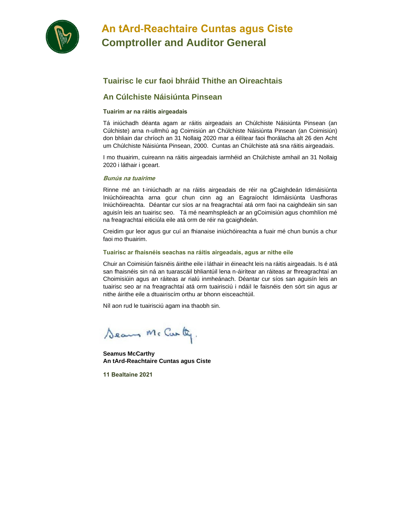

# **An tArd-Reachtaire Cuntas agus Ciste Comptroller and Auditor General**

# **Tuairisc le cur faoi bhráid Thithe an Oireachtais**

# **An Cúlchiste Náisiúnta Pinsean**

#### **Tuairim ar na ráitis airgeadais**

Tá iniúchadh déanta agam ar ráitis airgeadais an Chúlchiste Náisiúnta Pinsean (an Cúlchiste) arna n-ullmhú ag Coimisiún an Chúlchiste Náisiúnta Pinsean (an Coimisiún) don bhliain dar chríoch an 31 Nollaig 2020 mar a éilítear faoi fhorálacha alt 26 den Acht um Chúlchiste Náisiúnta Pinsean, 2000. Cuntas an Chúlchiste atá sna ráitis airgeadais.

I mo thuairim, cuireann na ráitis airgeadais iarmhéid an Chúlchiste amhail an 31 Nollaig 2020 i láthair i gceart.

#### **Bunús na tuairime**

Rinne mé an t-iniúchadh ar na ráitis airgeadais de réir na gCaighdeán Idirnáisiúnta Iniúchóireachta arna gcur chun cinn ag an Eagraíocht Idirnáisiúnta Uasfhoras Iniúchóireachta. Déantar cur síos ar na freagrachtaí atá orm faoi na caighdeáin sin san aguisín leis an tuairisc seo. Tá mé neamhspleách ar an gCoimisiún agus chomhlíon mé na freagrachtaí eiticiúla eile atá orm de réir na gcaighdeán.

Creidim gur leor agus gur cuí an fhianaise iniúchóireachta a fuair mé chun bunús a chur faoi mo thuairim.

#### **Tuairisc ar fhaisnéis seachas na ráitis airgeadais, agus ar nithe eile**

Chuir an Coimisiún faisnéis áirithe eile i láthair in éineacht leis na ráitis airgeadais. Is é atá san fhaisnéis sin ná an tuarascáil bhliantúil lena n-áirítear an ráiteas ar fhreagrachtaí an Choimisiúin agus an ráiteas ar rialú inmheánach. Déantar cur síos san aguisín leis an tuairisc seo ar na freagrachtaí atá orm tuairisciú i ndáil le faisnéis den sórt sin agus ar nithe áirithe eile a dtuairiscím orthu ar bhonn eisceachtúil.

Níl aon rud le tuairisciú agam ina thaobh sin.

Seams Mc Carly.

**Seamus McCarthy An tArd-Reachtaire Cuntas agus Ciste**

**11 Bealtaine 2021**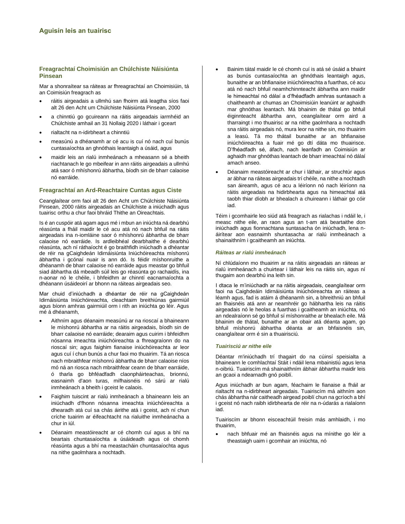#### **Freagrachtaí Choimisiún an Chúlchiste Náisiúnta Pinsean**

Mar a shonraítear sa ráiteas ar fhreagrachtaí an Choimisiúin, tá an Coimisiún freagrach as

- ráitis airgeadais a ullmhú san fhoirm atá leagtha síos faoi alt 26 den Acht um Chúlchiste Náisiúnta Pinsean, 2000
- a chinntiú go gcuireann na ráitis airgeadais iarmhéid an Chúlchiste amhail an 31 Nollaig 2020 i láthair i gceart
- rialtacht na n-idirbheart a chinntiú
- measúnú a dhéanamh ar cé acu is cuí nó nach cuí bunús cuntasaíochta an ghnóthais leantaigh a úsáid, agus
- maidir leis an rialú inmheánach a mheasann sé a bheith riachtanach le go mbeifear in ann ráitis airgeadais a ullmhú atá saor ó mhíshonrú ábhartha, bíodh sin de bharr calaoise nó earráide.

#### **Freagrachtaí an Ard-Reachtaire Cuntas agus Ciste**

Ceanglaítear orm faoi alt 26 den Acht um Chúlchiste Náisiúnta Pinsean, 2000 ráitis airgeadais an Chúlchiste a iniúchadh agus tuairisc orthu a chur faoi bhráid Thithe an Oireachtais.

Is é an cuspóir atá agam agus mé i mbun an iniúchta ná dearbhú réasúnta a fháil maidir le cé acu atá nó nach bhfuil na ráitis airgeadais ina n-iomláine saor ó mhíshonrú ábhartha de bharr calaoise nó earráide. Is ardleibhéal dearbhaithe é dearbhú réasúnta, ach ní ráthaíocht é go braithfidh iniúchadh a dhéantar de réir na gCaighdeán Idirnáisiúnta Iniúchóireachta míshonrú ábhartha i gcónaí nuair is ann dó. Is féidir míshonruithe a dhéanamh de bharr calaoise nó earráide agus meastar go bhfuil siad ábhartha dá mbeadh súil leis go réasúnta go rachaidís, ina n-aonar nó le chéile, i bhfeidhm ar chinntí eacnamaíochta a dhéanann úsáideoirí ar bhonn na ráiteas airgeadais seo.

Mar chuid d'iniúchadh a dhéantar de réir na gCaighdeán Idirnáisiúnta Iniúchóireachta, cleachtaim breithiúnas gairmiúil agus bíonn amhras gairmiúil orm i rith an iniúchta go léir. Agus mé á dhéanamh,

- Aithním agus déanaim measúnú ar na rioscaí a bhaineann le míshonrú ábhartha ar na ráitis airgeadais, bíodh sin de bharr calaoise nó earráide; dearaim agus cuirim i bhfeidhm nósanna imeachta iniúchóireachta a fhreagraíonn do na rioscaí sin; agus faighim fianaise iniúchóireachta ar leor agus cuí í chun bunús a chur faoi mo thuairim. Tá an riosca nach mbraithfear míshonrú ábhartha de bharr calaoise níos mó ná an riosca nach mbraithfear ceann de bharr earráide, ó tharla go bhféadfadh claonpháirteachas, brionnú, easnaimh d'aon turas, mífhaisnéis nó sárú ar rialú inmheánach a bheith i gceist le calaois.
- Faighim tuiscint ar rialú inmheánach a bhaineann leis an iniúchadh d'fhonn nósanna imeachta iniúchóireachta a dhearadh atá cuí sa chás áirithe atá i gceist, ach ní chun críche tuairim ar éifeachtacht na rialuithe inmheánacha a chur in iúl.
- Déanaim meastóireacht ar cé chomh cuí agus a bhí na beartais chuntasaíochta a úsáideadh agus cé chomh réasúnta agus a bhí na meastacháin chuntasaíochta agus na nithe gaolmhara a nochtadh.
- Bainim tátal maidir le cé chomh cuí is atá sé úsáid a bhaint as bunús cuntasaíochta an ghnóthais leantaigh agus, bunaithe ar an bhfianaise iniúchóireachta a fuarthas, cé acu atá nó nach bhfuil neamhchinnteacht ábhartha ann maidir le himeachtaí nó dálaí a d'fhéadfadh amhras suntasach a chaitheamh ar chumas an Choimisiúin leanúint ar aghaidh mar ghnóthas leantach. Má bhainim de thátal go bhfuil éiginnteacht ábhartha ann, ceanglaítear orm aird a tharraingt i mo thuairisc ar na nithe gaolmhara a nochtadh sna ráitis airgeadais nó, mura leor na nithe sin, mo thuairim a leasú. Tá mo thátail bunaithe ar an bhfianaise iniúchóireachta a fuair mé go dtí dáta mo thuairisce. D'fhéadfadh sé, áfach, nach leanfadh an Coimisiún ar aghaidh mar ghnóthas leantach de bharr imeachtaí nó dálaí amach anseo.
- Déanaim meastóireacht ar chur i láthair, ar struchtúr agus ar ábhar na ráiteas airgeadais trí chéile, na nithe a nochtadh san áireamh, agus cé acu a léiríonn nó nach léiríonn na ráitis airgeadais na hidirbhearta agus na himeachtaí atá taobh thiar díobh ar bhealach a chuireann i láthair go cóir iad.

Téim i gcomhairle leo siúd atá freagrach as rialachas i ndáil le, i measc nithe eile, an raon agus an t-am atá beartaithe don iniúchadh agus fionnachtana suntasacha ón iniúchadh, lena náirítear aon easnaimh shuntasacha ar rialú inmheánach a shainaithním i gcaitheamh an iniúchta.

#### *Ráiteas ar rialú inmheánach*

Ní chlúdaíonn mo thuairim ar na ráitis airgeadais an ráiteas ar rialú inmheánach a chuirtear i láthair leis na ráitis sin, agus ní thugaim aon dearbhú ina leith sin.

I dtaca le m'iniúchadh ar na ráitis airgeadais, ceanglaítear orm faoi na Caighdeáin Idirnáisiúnta Iniúchóireachta an ráiteas a léamh agus, fad is atáim á dhéanamh sin, a bhreithniú an bhfuil an fhaisnéis atá ann ar neamhréir go hábhartha leis na ráitis airgeadais nó le heolas a fuarthas i gcaitheamh an iniúchta, nó an ndealraíonn sé go bhfuil sí míshonraithe ar bhealach eile. Má bhainim de thátal, bunaithe ar an obair atá déanta agam, go bhfuil míshonrú ábhartha déanta ar an bhfaisnéis sin, ceanglaítear orm é sin a thuairisciú.

#### *Tuairisciú ar nithe eile*

Déantar m'iniúchadh trí thagairt do na cúinsí speisialta a bhaineann le comhlachtaí Stáit i ndáil lena mbainistiú agus lena n-oibriú. Tuairiscím má shainaithním ábhair ábhartha maidir leis an gcaoi a ndearnadh gnó poiblí.

Agus iniúchadh ar bun agam, féachaim le fianaise a fháil ar rialtacht na n-idirbheart airgeadais. Tuairiscím má aithním aon chás ábhartha nár caitheadh airgead poiblí chun na gcríoch a bhí i gceist nó nach raibh idirbhearta de réir na n-údarás a rialaíonn iad.

Tuairiscím ar bhonn eisceachtúil freisin más amhlaidh, i mo thuairim,

• nach bhfuair mé an fhaisnéis agus na mínithe go léir a theastaigh uaim i gcomhair an iniúchta, nó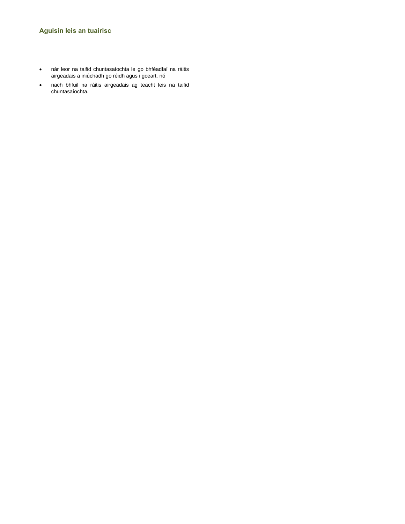# **Aguisín leis an tuairisc**

- nár leor na taifid chuntasaíochta le go bhféadfaí na ráitis airgeadais a iniúchadh go réidh agus i gceart, nó
- nach bhfuil na ráitis airgeadais ag teacht leis na taifid chuntasaíochta.